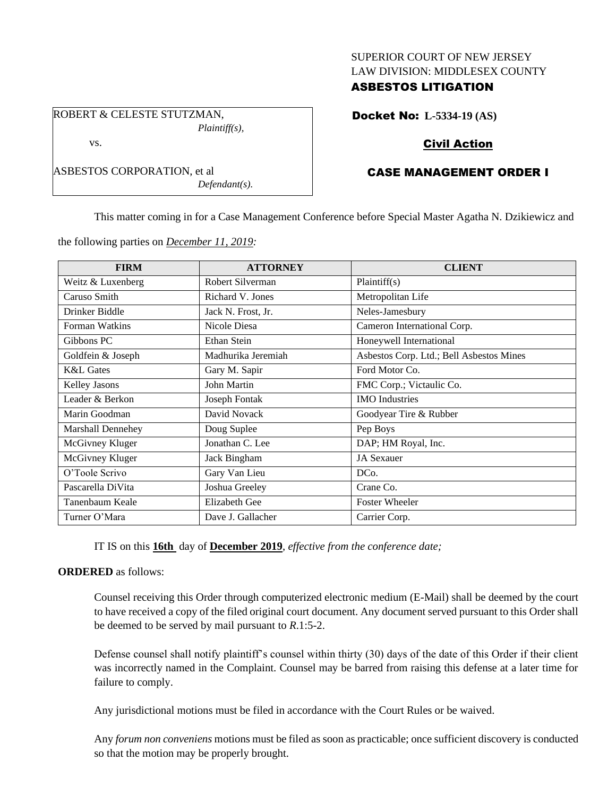## SUPERIOR COURT OF NEW JERSEY LAW DIVISION: MIDDLESEX COUNTY

## ASBESTOS LITIGATION

ROBERT & CELESTE STUTZMAN, *Plaintiff(s),* vs.

ASBESTOS CORPORATION, et al

Docket No: **L-5334-19 (AS)**

# Civil Action

# CASE MANAGEMENT ORDER I

This matter coming in for a Case Management Conference before Special Master Agatha N. Dzikiewicz and

the following parties on *December 11, 2019:*

*Defendant(s).*

| <b>FIRM</b>              | <b>ATTORNEY</b>      | <b>CLIENT</b>                            |
|--------------------------|----------------------|------------------------------------------|
| Weitz & Luxenberg        | Robert Silverman     | Plaintiff(s)                             |
| Caruso Smith             | Richard V. Jones     | Metropolitan Life                        |
| Drinker Biddle           | Jack N. Frost, Jr.   | Neles-Jamesbury                          |
| Forman Watkins           | Nicole Diesa         | Cameron International Corp.              |
| Gibbons PC               | Ethan Stein          | Honeywell International                  |
| Goldfein & Joseph        | Madhurika Jeremiah   | Asbestos Corp. Ltd.; Bell Asbestos Mines |
| <b>K&amp;L</b> Gates     | Gary M. Sapir        | Ford Motor Co.                           |
| Kelley Jasons            | John Martin          | FMC Corp.; Victaulic Co.                 |
| Leader & Berkon          | Joseph Fontak        | <b>IMO</b> Industries                    |
| Marin Goodman            | David Novack         | Goodyear Tire & Rubber                   |
| <b>Marshall Dennehey</b> | Doug Suplee          | Pep Boys                                 |
| McGivney Kluger          | Jonathan C. Lee      | DAP; HM Royal, Inc.                      |
| McGivney Kluger          | Jack Bingham         | <b>JA</b> Sexauer                        |
| O'Toole Scrivo           | Gary Van Lieu        | DC <sub>0</sub> .                        |
| Pascarella DiVita        | Joshua Greeley       | Crane Co.                                |
| Tanenbaum Keale          | <b>Elizabeth Gee</b> | <b>Foster Wheeler</b>                    |
| Turner O'Mara            | Dave J. Gallacher    | Carrier Corp.                            |

IT IS on this **16th** day of **December 2019**, *effective from the conference date;*

#### **ORDERED** as follows:

Counsel receiving this Order through computerized electronic medium (E-Mail) shall be deemed by the court to have received a copy of the filed original court document. Any document served pursuant to this Order shall be deemed to be served by mail pursuant to *R*.1:5-2.

Defense counsel shall notify plaintiff's counsel within thirty (30) days of the date of this Order if their client was incorrectly named in the Complaint. Counsel may be barred from raising this defense at a later time for failure to comply.

Any jurisdictional motions must be filed in accordance with the Court Rules or be waived.

Any *forum non conveniens* motions must be filed as soon as practicable; once sufficient discovery is conducted so that the motion may be properly brought.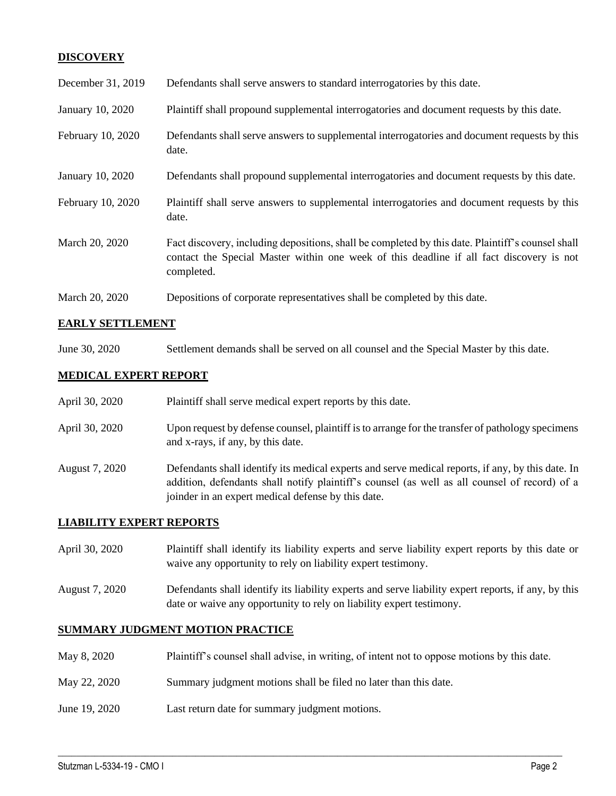## **DISCOVERY**

| December 31, 2019 | Defendants shall serve answers to standard interrogatories by this date.                                                                                                                                    |
|-------------------|-------------------------------------------------------------------------------------------------------------------------------------------------------------------------------------------------------------|
| January 10, 2020  | Plaintiff shall propound supplemental interrogatories and document requests by this date.                                                                                                                   |
| February 10, 2020 | Defendants shall serve answers to supplemental interrogatories and document requests by this<br>date.                                                                                                       |
| January 10, 2020  | Defendants shall propound supplemental interrogatories and document requests by this date.                                                                                                                  |
| February 10, 2020 | Plaintiff shall serve answers to supplemental interrogatories and document requests by this<br>date.                                                                                                        |
| March 20, 2020    | Fact discovery, including depositions, shall be completed by this date. Plaintiff's counsel shall<br>contact the Special Master within one week of this deadline if all fact discovery is not<br>completed. |
| March 20, 2020    | Depositions of corporate representatives shall be completed by this date.                                                                                                                                   |

## **EARLY SETTLEMENT**

June 30, 2020 Settlement demands shall be served on all counsel and the Special Master by this date.

### **MEDICAL EXPERT REPORT**

| April 30, 2020 | Plaintiff shall serve medical expert reports by this date.                                                                                                                                                                                               |
|----------------|----------------------------------------------------------------------------------------------------------------------------------------------------------------------------------------------------------------------------------------------------------|
| April 30, 2020 | Upon request by defense counsel, plaintiff is to arrange for the transfer of pathology specimens<br>and x-rays, if any, by this date.                                                                                                                    |
| August 7, 2020 | Defendants shall identify its medical experts and serve medical reports, if any, by this date. In<br>addition, defendants shall notify plaintiff's counsel (as well as all counsel of record) of a<br>joinder in an expert medical defense by this date. |

#### **LIABILITY EXPERT REPORTS**

| April 30, 2020 | Plaintiff shall identify its liability experts and serve liability expert reports by this date or |
|----------------|---------------------------------------------------------------------------------------------------|
|                | waive any opportunity to rely on liability expert testimony.                                      |

August 7, 2020 Defendants shall identify its liability experts and serve liability expert reports, if any, by this date or waive any opportunity to rely on liability expert testimony.

### **SUMMARY JUDGMENT MOTION PRACTICE**

May 8, 2020 Plaintiff's counsel shall advise, in writing, of intent not to oppose motions by this date.

 $\_$  , and the set of the set of the set of the set of the set of the set of the set of the set of the set of the set of the set of the set of the set of the set of the set of the set of the set of the set of the set of th

- May 22, 2020 Summary judgment motions shall be filed no later than this date.
- June 19, 2020 Last return date for summary judgment motions.